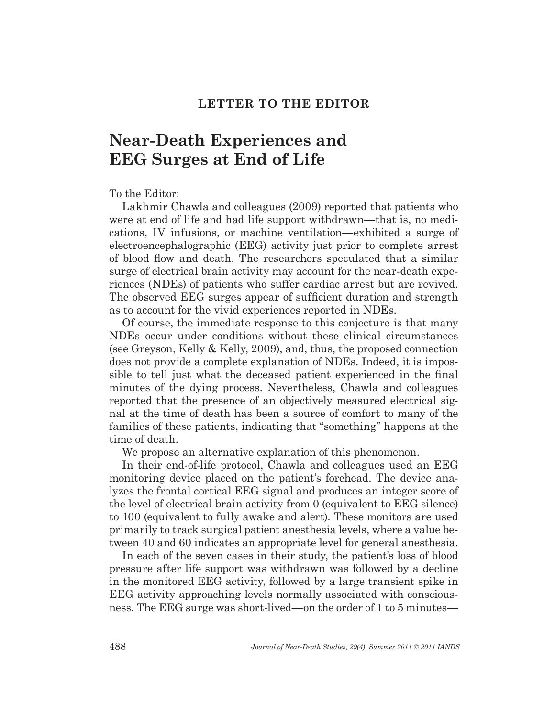### **LETTER TO THE EDITOR**

# **Near-Death Experiences and EEG Surges at End of Life**

To the Editor:

Lakhmir Chawla and colleagues (2009) reported that patients who were at end of life and had life support withdrawn—that is, no medications, IV infusions, or machine ventilation—exhibited a surge of electroencephalographic (EEG) activity just prior to complete arrest of blood flow and death. The researchers speculated that a similar surge of electrical brain activity may account for the near-death experiences (NDEs) of patients who suffer cardiac arrest but are revived. The observed EEG surges appear of sufficient duration and strength as to account for the vivid experiences reported in NDEs.

Of course, the immediate response to this conjecture is that many NDEs occur under conditions without these clinical circumstances (see Greyson, Kelly & Kelly, 2009), and, thus, the proposed connection does not provide a complete explanation of NDEs. Indeed, it is impossible to tell just what the deceased patient experienced in the final minutes of the dying process. Nevertheless, Chawla and colleagues reported that the presence of an objectively measured electrical signal at the time of death has been a source of comfort to many of the families of these patients, indicating that "something" happens at the time of death.

We propose an alternative explanation of this phenomenon.

In their end-of-life protocol, Chawla and colleagues used an EEG monitoring device placed on the patient's forehead. The device analyzes the frontal cortical EEG signal and produces an integer score of the level of electrical brain activity from 0 (equivalent to EEG silence) to 100 (equivalent to fully awake and alert). These monitors are used primarily to track surgical patient anesthesia levels, where a value between 40 and 60 indicates an appropriate level for general anesthesia.

In each of the seven cases in their study, the patient's loss of blood pressure after life support was withdrawn was followed by a decline in the monitored EEG activity, followed by a large transient spike in EEG activity approaching levels normally associated with consciousness. The EEG surge was short-lived—on the order of 1 to 5 minutes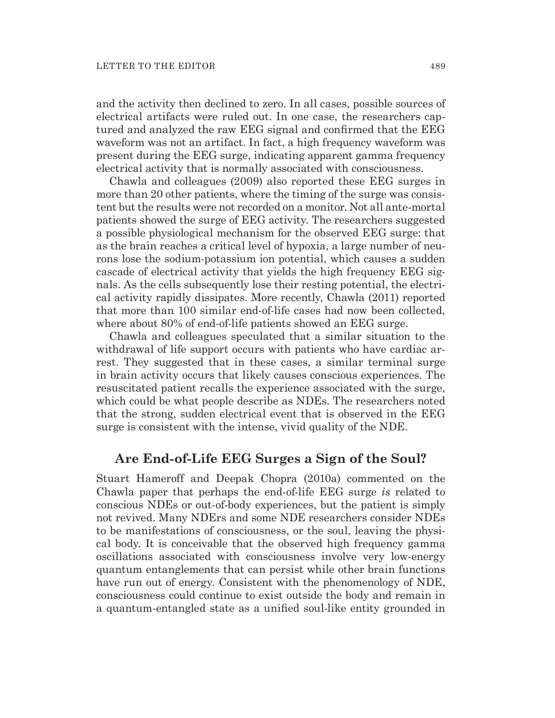and the activity then declined to zero. In all cases, possible sources of electrical artifacts were ruled out. In one case, the researchers captured and analyzed the raw EEG signal and confirmed that the EEG waveform was not an artifact. In fact, a high frequency waveform was present during the EEG surge, indicating apparent gamma frequency electrical activity that is normally associated with consciousness.

Chawla and colleagues (2009) also reported these EEG surges in more than 20 other patients, where the timing of the surge was consistent but the results were not recorded on a monitor. Not all ante-mortal patients showed the surge of EEG activity. The researchers suggested a possible physiological mechanism for the observed EEG surge: that as the brain reaches a critical level of hypoxia, a large number of neurons lose the sodium-potassium ion potential, which causes a sudden cascade of electrical activity that yields the high frequency EEG signals. As the cells subsequently lose their resting potential, the electrical activity rapidly dissipates. More recently, Chawla (2011) reported that more than 100 similar end-of-life cases had now been collected, where about 80% of end-of-life patients showed an EEG surge.

Chawla and colleagues speculated that a similar situation to the withdrawal of life support occurs with patients who have cardiac arrest. They suggested that in these cases, a similar terminal surge in brain activity occurs that likely causes conscious experiences. The resuscitated patient recalls the experience associated with the surge, which could be what people describe as NDEs. The researchers noted that the strong, sudden electrical event that is observed in the EEG surge is consistent with the intense, vivid quality of the NDE.

# **Are End-of-Life EEG Surges a Sign of the Soul?**

Stuart Hameroff and Deepak Chopra (2010a) commented on the Chawla paper that perhaps the end-of-life EEG surge *is* related to conscious NDEs or out-of-body experiences, but the patient is simply not revived. Many NDErs and some NDE researchers consider NDEs to be manifestations of consciousness, or the soul, leaving the physical body. It is conceivable that the observed high frequency gamma oscillations associated with consciousness involve very low-energy quantum entanglements that can persist while other brain functions have run out of energy. Consistent with the phenomenology of NDE, consciousness could continue to exist outside the body and remain in a quantum-entangled state as a unified soul-like entity grounded in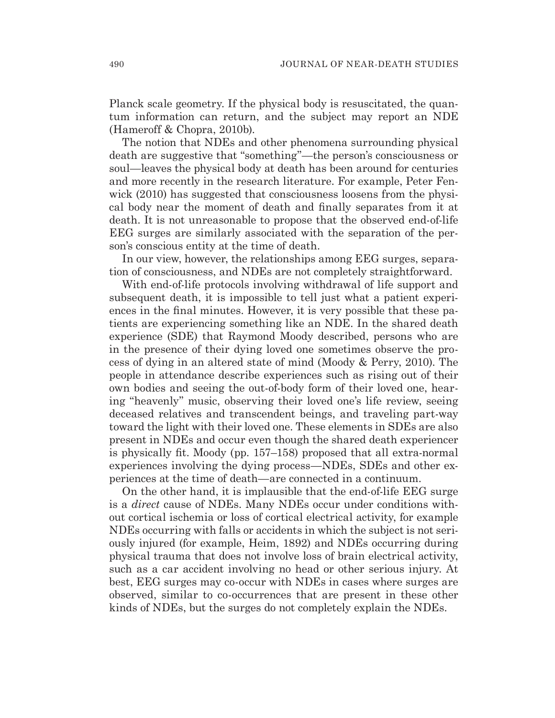Planck scale geometry. If the physical body is resuscitated, the quantum information can return, and the subject may report an NDE (Hameroff & Chopra, 2010b).

The notion that NDEs and other phenomena surrounding physical death are suggestive that "something"—the person's consciousness or soul—leaves the physical body at death has been around for centuries and more recently in the research literature. For example, Peter Fenwick (2010) has suggested that consciousness loosens from the physical body near the moment of death and finally separates from it at death. It is not unreasonable to propose that the observed end-of-life EEG surges are similarly associated with the separation of the person's conscious entity at the time of death.

In our view, however, the relationships among EEG surges, separation of consciousness, and NDEs are not completely straightforward.

With end-of-life protocols involving withdrawal of life support and subsequent death, it is impossible to tell just what a patient experiences in the final minutes. However, it is very possible that these patients are experiencing something like an NDE. In the shared death experience (SDE) that Raymond Moody described, persons who are in the presence of their dying loved one sometimes observe the process of dying in an altered state of mind (Moody & Perry, 2010). The people in attendance describe experiences such as rising out of their own bodies and seeing the out-of-body form of their loved one, hearing "heavenly" music, observing their loved one's life review, seeing deceased relatives and transcendent beings, and traveling part-way toward the light with their loved one. These elements in SDEs are also present in NDEs and occur even though the shared death experiencer is physically fit. Moody (pp.  $157-158$ ) proposed that all extra-normal experiences involving the dying process—NDEs, SDEs and other experiences at the time of death—are connected in a continuum.

On the other hand, it is implausible that the end-of-life EEG surge is a *direct* cause of NDEs. Many NDEs occur under conditions without cortical ischemia or loss of cortical electrical activity, for example NDEs occurring with falls or accidents in which the subject is not seriously injured (for example, Heim, 1892) and NDEs occurring during physical trauma that does not involve loss of brain electrical activity, such as a car accident involving no head or other serious injury. At best, EEG surges may co-occur with NDEs in cases where surges are observed, similar to co-occurrences that are present in these other kinds of NDEs, but the surges do not completely explain the NDEs.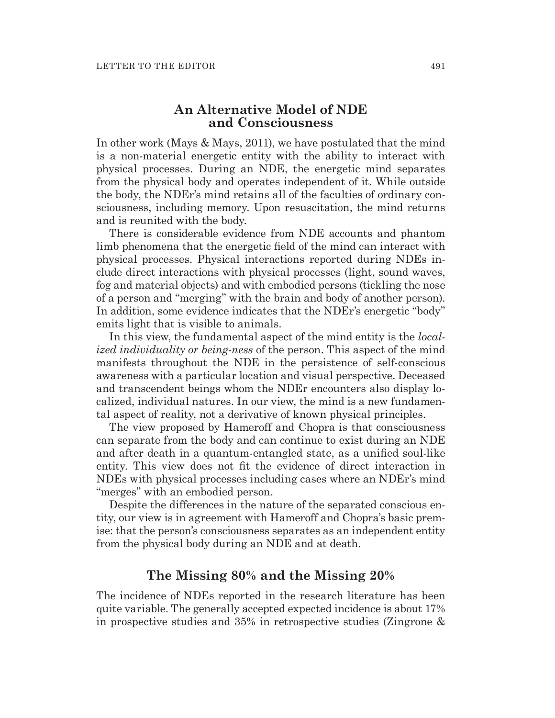# **An Alternative Model of NDE and Consciousness**

In other work (Mays & Mays, 2011), we have postulated that the mind is a non-material energetic entity with the ability to interact with physical processes. During an NDE, the energetic mind separates from the physical body and operates independent of it. While outside the body, the NDEr's mind retains all of the faculties of ordinary consciousness, including memory. Upon resuscitation, the mind returns and is reunited with the body.

There is considerable evidence from NDE accounts and phantom limb phenomena that the energetic field of the mind can interact with physical processes. Physical interactions reported during NDEs include direct interactions with physical processes (light, sound waves, fog and material objects) and with embodied persons (tickling the nose of a person and "merging" with the brain and body of another person). In addition, some evidence indicates that the NDEr's energetic "body" emits light that is visible to animals.

In this view, the fundamental aspect of the mind entity is the *localized individuality or being-ness* of the person. This aspect of the mind manifests throughout the NDE in the persistence of self-conscious awareness with a particular location and visual perspective. Deceased and transcendent beings whom the NDEr encounters also display localized, individual natures. In our view, the mind is a new fundamental aspect of reality, not a derivative of known physical principles.

The view proposed by Hameroff and Chopra is that consciousness can separate from the body and can continue to exist during an NDE and after death in a quantum-entangled state, as a unified soul-like entity. This view does not fit the evidence of direct interaction in NDEs with physical processes including cases where an NDEr's mind "merges" with an embodied person.

Despite the differences in the nature of the separated conscious entity, our view is in agreement with Hameroff and Chopra's basic premise: that the person's consciousness separates as an independent entity from the physical body during an NDE and at death.

## **The Missing 80% and the Missing 20%**

The incidence of NDEs reported in the research literature has been quite variable. The generally accepted expected incidence is about 17% in prospective studies and 35% in retrospective studies (Zingrone &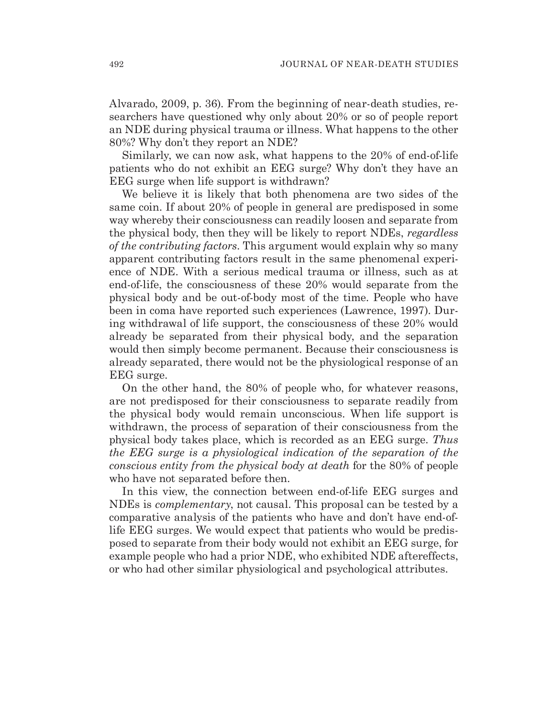Alvarado, 2009, p. 36). From the beginning of near-death studies, researchers have questioned why only about 20% or so of people report an NDE during physical trauma or illness. What happens to the other 80%? Why don't they report an NDE?

Similarly, we can now ask, what happens to the 20% of end-of-life patients who do not exhibit an EEG surge? Why don't they have an EEG surge when life support is withdrawn?

We believe it is likely that both phenomena are two sides of the same coin. If about 20% of people in general are predisposed in some way whereby their consciousness can readily loosen and separate from the physical body, then they will be likely to report NDEs, *regardless of the contributing factors*. This argument would explain why so many apparent contributing factors result in the same phenomenal experience of NDE. With a serious medical trauma or illness, such as at end-of-life, the consciousness of these 20% would separate from the physical body and be out-of-body most of the time. People who have been in coma have reported such experiences (Lawrence, 1997). During withdrawal of life support, the consciousness of these 20% would already be separated from their physical body, and the separation would then simply become permanent. Because their consciousness is already separated, there would not be the physiological response of an EEG surge.

On the other hand, the 80% of people who, for whatever reasons, are not predisposed for their consciousness to separate readily from the physical body would remain unconscious. When life support is withdrawn, the process of separation of their consciousness from the physical body takes place, which is recorded as an EEG surge. *Thus the EEG surge is a physiological indication of the separation of the conscious entity from the physical body at death* for the 80% of people who have not separated before then.

In this view, the connection between end-of-life EEG surges and NDEs is *complementary*, not causal. This proposal can be tested by a comparative analysis of the patients who have and don't have end-oflife EEG surges. We would expect that patients who would be predisposed to separate from their body would not exhibit an EEG surge, for example people who had a prior NDE, who exhibited NDE aftereffects, or who had other similar physiological and psychological attributes.